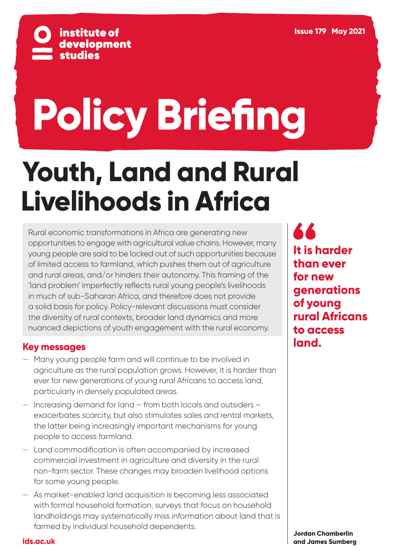

# **Policy Briefing**

## **Youth, Land and Rural Livelihoods in Africa**

Rural economic transformations in Africa are generating new opportunities to engage with agricultural value chains. However, many young people are said to be locked out of such opportunities because of limited access to farmland, which pushes them out of agriculture and rural areas, and/or hinders their autonomy. This framing of the 'land problem' imperfectly reflects rural young people's livelihoods in much of sub-Saharan Africa, and therefore does not provide a solid basis for policy. Policy-relevant discussions must consider the diversity of rural contexts, broader land dynamics and more nuanced depictions of youth engagement with the rural economy.

#### **Key messages**

- Many young people farm and will continue to be involved in agriculture as the rural population grows. However, it is harder than ever for new generations of young rural Africans to access land, particularly in densely populated areas.
- Increasing demand for land from both locals and outsiders exacerbates scarcity, but also stimulates sales and rental markets, the latter being increasingly important mechanisms for young people to access farmland.
- Land commodification is often accompanied by increased commercial investment in agriculture and diversity in the rural non-farm sector. These changes may broaden livelihood options for some young people.
- As market-enabled land acquisition is becoming less associated with formal household formation, surveys that focus on household landholdings may systematically miss information about land that is farmed by individual household dependents.

**44 It is harder than ever for new generations of young rural Africans to access land.**

**Jordan Chamberlin and James Sumberg**

**[ids.ac.uk](https://www.ids.ac.uk/)**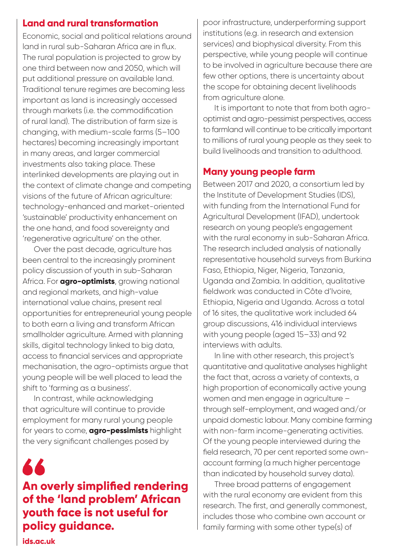#### **Land and rural transformation**

Economic, social and political relations around land in rural sub-Saharan Africa are in flux. The rural population is projected to grow by one third between now and 2050, which will put additional pressure on available land. Traditional tenure regimes are becoming less important as land is increasingly accessed through markets (i.e. the commodification of rural land). The distribution of farm size is changing, with medium-scale farms (5–100 hectares) becoming increasingly important in many areas, and larger commercial investments also taking place. These interlinked developments are playing out in the context of climate change and competing visions of the future of African agriculture: technology-enhanced and market-oriented 'sustainable' productivity enhancement on the one hand, and food sovereignty and 'regenerative agriculture' on the other.

Over the past decade, agriculture has been central to the increasingly prominent policy discussion of youth in sub-Saharan Africa. For **agro-optimists**, growing national and regional markets, and high-value international value chains, present real opportunities for entrepreneurial young people to both earn a living and transform African smallholder agriculture. Armed with planning skills, digital technology linked to big data, access to financial services and appropriate mechanisation, the agro-optimists argue that young people will be well placed to lead the shift to 'farming as a business'.

In contrast, while acknowledging that agriculture will continue to provide employment for many rural young people for years to come, **agro-pessimists** highlight the very significant challenges posed by

A A **An overly simplified rendering of the 'land problem' African youth face is not useful for policy guidance.**

poor infrastructure, underperforming support institutions (e.g. in research and extension services) and biophysical diversity. From this perspective, while young people will continue to be involved in agriculture because there are few other options, there is uncertainty about the scope for obtaining decent livelihoods from agriculture alone.

It is important to note that from both agrooptimist and agro-pessimist perspectives, access to farmland will continue to be critically important to millions of rural young people as they seek to build livelihoods and transition to adulthood.

#### **Many young people farm**

Between 2017 and 2020, a consortium led by the Institute of Development Studies (IDS), with funding from the International Fund for Agricultural Development (IFAD), undertook research on young people's engagement with the rural economy in sub-Saharan Africa. The research included analysis of nationally representative household surveys from Burkina Faso, Ethiopia, Niger, Nigeria, Tanzania, Uganda and Zambia. In addition, qualitative fieldwork was conducted in Côte d'Ivoire, Ethiopia, Nigeria and Uganda. Across a total of 16 sites, the qualitative work included 64 group discussions, 416 individual interviews with young people (aged 15–33) and 92 interviews with adults.

In line with other research, this project's quantitative and qualitative analyses highlight the fact that, across a variety of contexts, a high proportion of economically active young women and men engage in agriculture – through self-employment, and waged and/or unpaid domestic labour. Many combine farming with non-farm income-generating activities. Of the young people interviewed during the field research, 70 per cent reported some ownaccount farming (a much higher percentage than indicated by household survey data).

Three broad patterns of engagement with the rural economy are evident from this research. The first, and generally commonest, includes those who combine own account or family farming with some other type(s) of

**[ids.ac.uk](https://www.ids.ac.uk/)**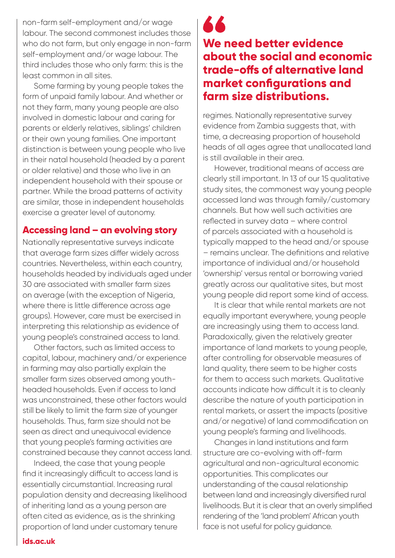non-farm self-employment and/or wage labour. The second commonest includes those who do not farm, but only engage in non-farm self-employment and/or wage labour. The third includes those who only farm: this is the least common in all sites.

Some farming by young people takes the form of unpaid family labour. And whether or not they farm, many young people are also involved in domestic labour and caring for parents or elderly relatives, siblings' children or their own young families. One important distinction is between young people who live in their natal household (headed by a parent or older relative) and those who live in an independent household with their spouse or partner. While the broad patterns of activity are similar, those in independent households exercise a greater level of autonomy.

#### **Accessing land – an evolving story**

Nationally representative surveys indicate that average farm sizes differ widely across countries. Nevertheless, within each country, households headed by individuals aged under 30 are associated with smaller farm sizes on average (with the exception of Nigeria, where there is little difference across age groups). However, care must be exercised in interpreting this relationship as evidence of young people's constrained access to land.

Other factors, such as limited access to capital, labour, machinery and/or experience in farming may also partially explain the smaller farm sizes observed among youthheaded households. Even if access to land was unconstrained, these other factors would still be likely to limit the farm size of younger households. Thus, farm size should not be seen as direct and unequivocal evidence that young people's farming activities are constrained because they cannot access land.

Indeed, the case that young people find it increasingly difficult to access land is essentially circumstantial. Increasing rural population density and decreasing likelihood of inheriting land as a young person are often cited as evidence, as is the shrinking proportion of land under customary tenure

### 66 **We need better evidence about the social and economic trade-offs of alternative land market configurations and farm size distributions.**

regimes. Nationally representative survey evidence from Zambia suggests that, with time, a decreasing proportion of household heads of all ages agree that unallocated land is still available in their area.

However, traditional means of access are clearly still important. In 13 of our 15 qualitative study sites, the commonest way young people accessed land was through family/customary channels. But how well such activities are reflected in survey data – where control of parcels associated with a household is typically mapped to the head and/or spouse – remains unclear. The definitions and relative importance of individual and/or household 'ownership' versus rental or borrowing varied greatly across our qualitative sites, but most young people did report some kind of access.

It is clear that while rental markets are not equally important everywhere, young people are increasingly using them to access land. Paradoxically, given the relatively greater importance of land markets to young people, after controlling for observable measures of land quality, there seem to be higher costs for them to access such markets. Qualitative accounts indicate how difficult it is to cleanly describe the nature of youth participation in rental markets, or assert the impacts (positive and/or negative) of land commodification on young people's farming and livelihoods.

Changes in land institutions and farm structure are co-evolving with off-farm agricultural and non-agricultural economic opportunities. This complicates our understanding of the causal relationship between land and increasingly diversified rural livelihoods. But it is clear that an overly simplified rendering of the 'land problem' African youth face is not useful for policy guidance.

#### **[ids.ac.uk](https://www.ids.ac.uk/)**